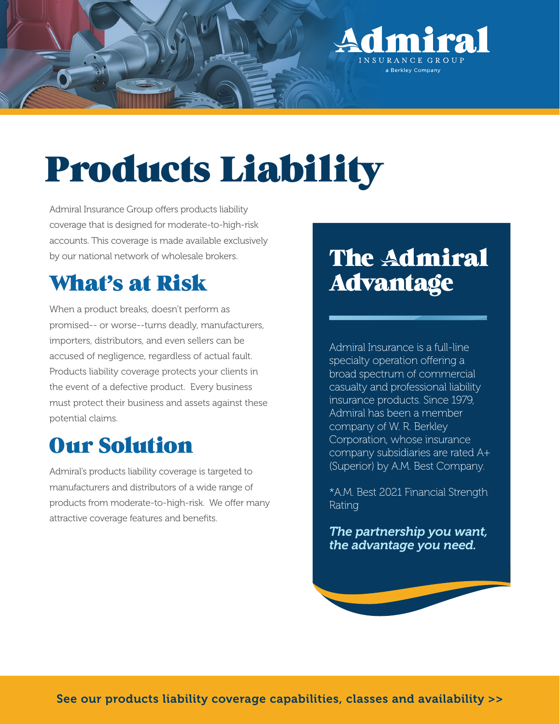

# Products Liability

Admiral Insurance Group offers products liability coverage that is designed for moderate-to-high-risk accounts. This coverage is made available exclusively by our national network of wholesale brokers.

# What's at Risk

When a product breaks, doesn't perform as promised-- or worse--turns deadly, manufacturers, importers, distributors, and even sellers can be accused of negligence, regardless of actual fault. Products liability coverage protects your clients in the event of a defective product. Every business must protect their business and assets against these potential claims.

# Our Solution

Admiral's products liability coverage is targeted to manufacturers and distributors of a wide range of products from moderate-to-high-risk. We offer many attractive coverage features and benefits.

# **The Admiral** Advantage

Admiral Insurance is a full-line specialty operation offering a broad spectrum of commercial casualty and professional liability insurance products. Since 1979, Admiral has been a member company of W. R. Berkley Corporation, whose insurance company subsidiaries are rated A+ (Superior) by A.M. Best Company.

\*A.M. Best 2021 Financial Strength Rating

*The partnership you want, the advantage you need.*